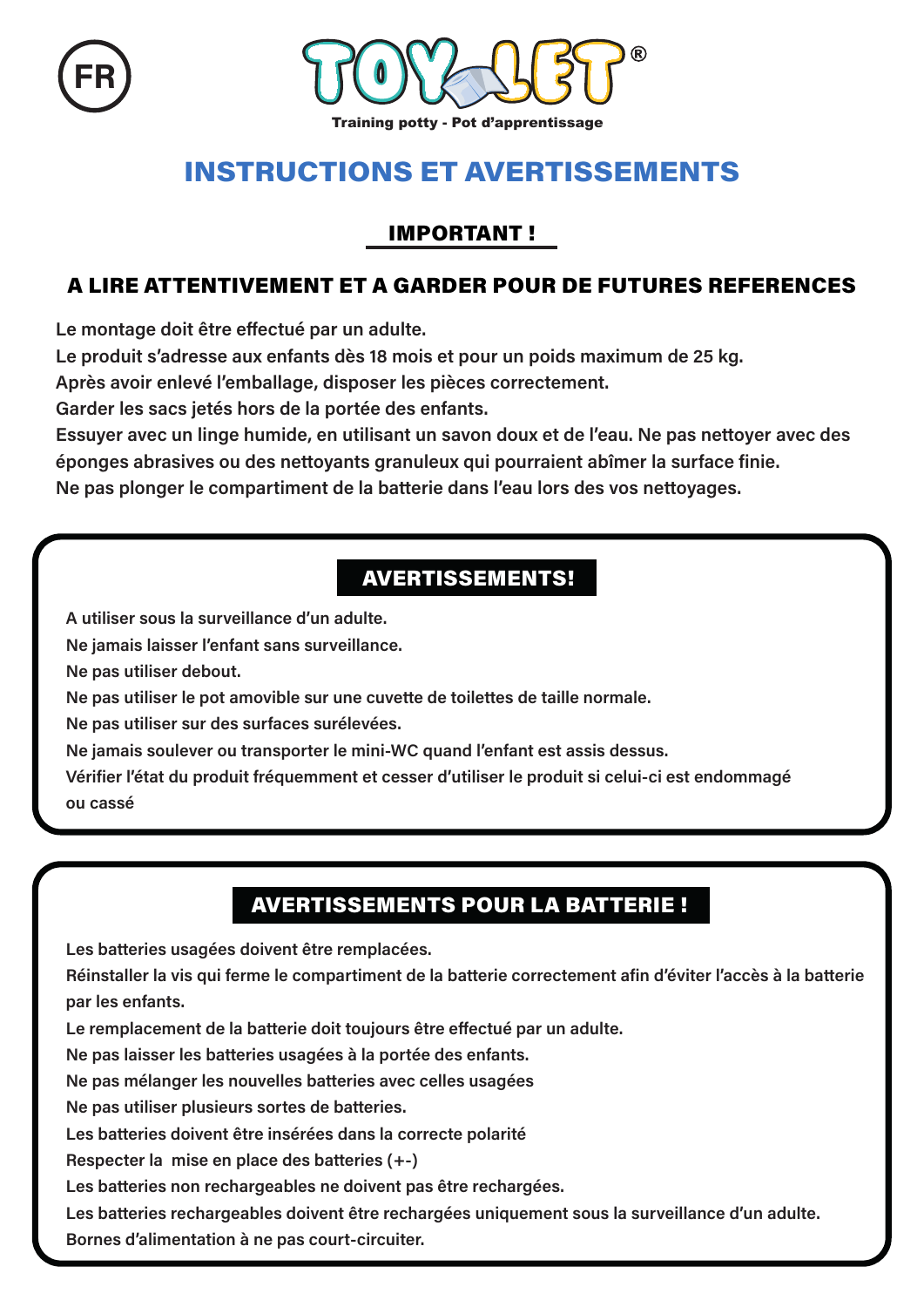



# **INSTRUCTIONS ET AVERTISSEMENTS**

#### **IMPORTANT!**

#### A LIRE ATTENTIVEMENT ET A GARDER POUR DE FUTURES REFERENCES

Le montage doit être effectué par un adulte.

Le produit s'adresse aux enfants dès 18 mois et pour un poids maximum de 25 kg.

Après avoir enlevé l'emballage, disposer les pièces correctement.

Garder les sacs jetés hors de la portée des enfants.

Essuyer avec un linge humide, en utilisant un savon doux et de l'eau. Ne pas nettoyer avec des éponges abrasives ou des nettoyants granuleux qui pourraient abîmer la surface finie.

Ne pas plonger le compartiment de la batterie dans l'eau lors des vos nettovages.

## **AVERTISSEMENTS!**

A utiliser sous la surveillance d'un adulte.

Ne jamais laisser l'enfant sans surveillance.

Ne pas utiliser debout.

Ne pas utiliser le pot amovible sur une cuvette de toilettes de taille normale.

Ne pas utiliser sur des surfaces surélevées.

Ne jamais soulever ou transporter le mini-WC quand l'enfant est assis dessus.

Vérifier l'état du produit fréquemment et cesser d'utiliser le produit si celui-ci est endommagé OU CASSÁ

### **AVERTISSEMENTS POUR LA BATTERIE !**

Les batteries usagées doivent être remplacées.

Réinstaller la vis qui ferme le compartiment de la batterie correctement afin d'éviter l'accès à la batterie par les enfants.

Le remplacement de la batterie doit toujours être effectué par un adulte.

Ne pas laisser les batteries usagées à la portée des enfants.

Ne pas mélanger les nouvelles batteries avec celles usagées

Ne pas utiliser plusieurs sortes de batteries.

Les batteries doivent être insérées dans la correcte polarité

Respecter la mise en place des batteries (+-)

Les batteries non rechargeables ne doivent pas être rechargées.

Les batteries rechargeables doivent être rechargées uniquement sous la surveillance d'un adulte.

Bornes d'alimentation à ne pas court-circuiter.